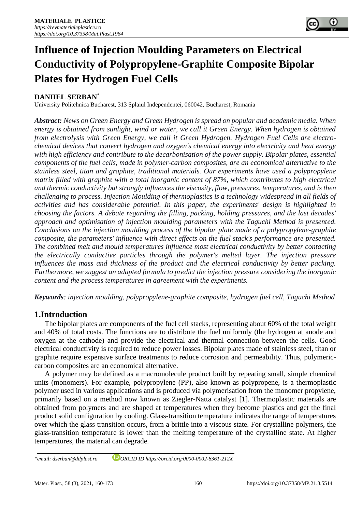

# **Influence of Injection Moulding Parameters on Electrical Conductivity of Polypropylene-Graphite Composite Bipolar Plates for Hydrogen Fuel Cells**

## **DANIIEL SERBAN**\*

University Politehnica Bucharest, 313 Splaiul Independentei, 060042, Bucharest, Romania

*Abstract: News on Green Energy and Green Hydrogen is spread on popular and academic media. When energy is obtained from sunlight, wind or water, we call it Green Energy. When hydrogen is obtained from electrolysis with Green Energy, we call it Green Hydrogen. Hydrogen Fuel Cells are electrochemical devices that convert hydrogen and oxygen's chemical energy into electricity and heat energy with high efficiency and contribute to the decarbonisation of the power supply. Bipolar plates, essential components of the fuel cells, made in polymer-carbon composites, are an economical alternative to the stainless steel, titan and graphite, traditional materials. Our experiments have used a polypropylene matrix filled with graphite with a total inorganic content of 87%, which contributes to high electrical and thermic conductivity but strongly influences the viscosity, flow, pressures, temperatures, and is then challenging to process. Injection Moulding of thermoplastics is a technology widespread in all fields of activities and has considerable potential. In this paper, the experiments' design is highlighted in choosing the factors. A debate regarding the filling, packing, holding pressures, and the last decades' approach and optimisation of injection moulding parameters with the Taguchi Method is presented. Conclusions on the injection moulding process of the bipolar plate made of a polypropylene-graphite composite, the parameters' influence with direct effects on the fuel stack's performance are presented. The combined melt and mould temperatures influence most electrical conductivity by better contacting the electrically conductive particles through the polymer's melted layer. The injection pressure influences the mass and thickness of the product and the electrical conductivity by better packing. Furthermore, we suggest an adapted formula to predict the injection pressure considering the inorganic content and the process temperatures in agreement with the experiments.* 

*Keywords: injection moulding, polypropylene-graphite composite, hydrogen fuel cell, Taguchi Method*

## **1.Introduction**

The bipolar plates are components of the fuel cell stacks, representing about 60% of the total weight and 40% of total costs. The functions are to distribute the fuel uniformly (the hydrogen at anode and oxygen at the cathode) and provide the electrical and thermal connection between the cells. Good electrical conductivity is required to reduce power losses. Bipolar plates made of stainless steel, titan or graphite require expensive surface treatments to reduce corrosion and permeability. Thus, polymericcarbon composites are an economical alternative.

A polymer may be defined as a macromolecule product built by repeating small, simple chemical units (monomers). For example, polypropylene (PP), also known as polypropene, is a thermoplastic polymer used in various applications and is produced via polymerisation from the monomer propylene, primarily based on a method now known as Ziegler-Natta catalyst [1]. Thermoplastic materials are obtained from polymers and are shaped at temperatures when they become plastics and get the final product solid configuration by cooling. Glass-transition temperature indicates the range of temperatures over which the glass transition occurs, from a brittle into a viscous state. For crystalline polymers, the glass-transition temperature is lower than the melting temperature of the crystalline state. At higher temperatures, the material can degrade.

*\*email[: dserban@ddplast.ro](mailto:dserban@ddplast.ro) ORCID ID https://orcid.org/0000-0002-8361-212X*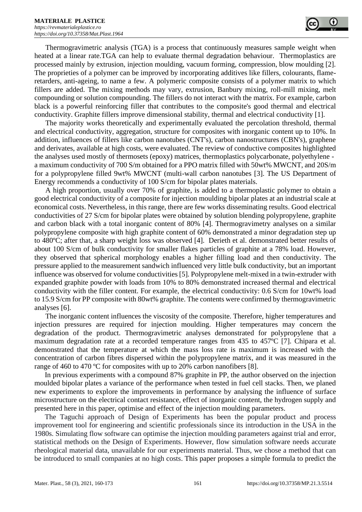Thermogravimetric analysis (TGA) is a process that continuously measures sample weight when heated at a linear rate.TGA can help to evaluate thermal degradation behaviour. Thermoplastics are processed mainly by extrusion, injection moulding, vacuum forming, compression, blow moulding [2]. The proprieties of a polymer can be improved by incorporating additives like fillers, colourants, flameretarders, anti-ageing, to name a few. A polymeric composite consists of a polymer matrix to which fillers are added. The mixing methods may vary, extrusion, Banbury mixing, roll-mill mixing, melt compounding or solution compounding. The fillers do not interact with the matrix. For example, carbon black is a powerful reinforcing filler that contributes to the composite's good thermal and electrical conductivity. Graphite fillers improve dimensional stability, thermal and electrical conductivity [1].

The majority works theoretically and experimentally evaluated the percolation threshold, thermal and electrical conductivity, aggregation, structure for composites with inorganic content up to 10%. In addition, influences of fillers like carbon nanotubes (CNT's), carbon nanostructures (CBN's), graphene and derivates, available at high costs, were evaluated. The review of conductive composites highlighted the analyses used mostly of thermosets (epoxy) matrices, thermoplastics polycarbonate, polyethylene a maximum conductivity of 700 S/m obtained for a PPO matrix filled with 50wt% MWCNT, and 20S/m for a polypropylene filled 9wt% MWCNT (multi-wall carbon nanotubes [3]. The US Department of Energy recommends a conductivity of 100 S/cm for bipolar plates materials.

A high proportion, usually over 70% of graphite, is added to a thermoplastic polymer to obtain a good electrical conductivity of a composite for injection moulding bipolar plates at an industrial scale at economical costs. Nevertheless, in this range, there are few works disseminating results. Good electrical conductivities of 27 S/cm for bipolar plates were obtained by solution blending polypropylene, graphite and carbon black with a total inorganic content of 80% [4]. Thermogravimetry analyses on a similar polypropylene composite with high graphite content of 60% demonstrated a minor degradation step up to 480ºC; after that, a sharp weight loss was observed [4]. Derieth et al. demonstrated better results of about 100 S/cm of bulk conductivity for smaller flakes particles of graphite at a 78% load. However, they observed that spherical morphology enables a higher filling load and then conductivity. The pressure applied to the measurement sandwich influenced very little bulk conductivity, but an important influence was observed for volume conductivities [5]. Polypropylene melt-mixed in a twin-extruder with expanded graphite powder with loads from 10% to 80% demonstrated increased thermal and electrical conductivity with the filler content. For example, the electrical conductivity: 0.6 S/cm for 10wt% load to 15.9 S/cm for PP composite with 80wt% graphite. The contents were confirmed by thermogravimetric analyses [6].

The inorganic content influences the viscosity of the composite. Therefore, higher temperatures and injection pressures are required for injection moulding. Higher temperatures may concern the degradation of the product. Thermogravimetric analyses demonstrated for polypropylene that a maximum degradation rate at a recorded temperature ranges from 435 to 457ºC [7]. Chipara et al. demonstrated that the temperature at which the mass loss rate is maximum is increased with the concentration of carbon fibres dispersed within the polypropylene matrix, and it was measured in the range of 460 to 470 °C for composites with up to 20% carbon nanofibers [8].

In previous experiments with a compound 87% graphite in PP, the author observed on the injection moulded bipolar plates a variance of the performance when tested in fuel cell stacks. Then, we planed new experiments to explore the improvements in performance by analysing the influence of surface microstructure on the electrical contact resistance, effect of inorganic content, the hydrogen supply and presented here in this paper, optimise and effect of the injection moulding parameters.

The Taguchi approach of Design of Experiments has been the popular product and process improvement tool for engineering and scientific professionals since its introduction in the USA in the 1980s. Simulating flow software can optimise the injection moulding parameters against trial and error, statistical methods on the Design of Experiments. However, flow simulation software needs accurate rheological material data, unavailable for our experiments material. Thus, we chose a method that can be introduced to small companies at no high costs. This paper proposes a simple formula to predict the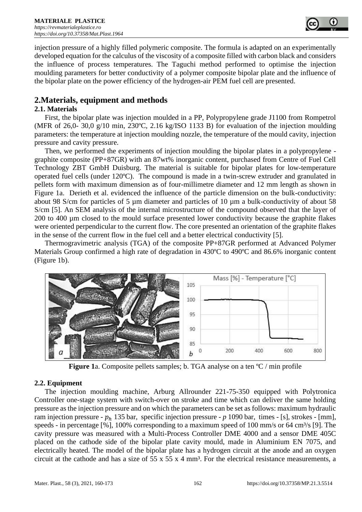

injection pressure of a highly filled polymeric composite. The formula is adapted on an experimentally developed equation for the calculus of the viscosity of a composite filled with carbon black and considers the influence of process temperatures. The Taguchi method performed to optimise the injection moulding parameters for better conductivity of a polymer composite bipolar plate and the influence of the bipolar plate on the power efficiency of the hydrogen-air PEM fuel cell are presented.

## **2.Materials, equipment and methods**

## **2.1. Materials**

First, the bipolar plate was injection moulded in a PP, Polypropylene grade J1100 from Rompetrol (MFR of 26,0- 30,0 g/10 min, 230ºC, 2.16 kg/ISO 1133 B) for evaluation of the injection moulding parameters: the temperature at injection moulding nozzle, the temperature of the mould cavity, injection pressure and cavity pressure.

Then, we performed the experiments of injection moulding the bipolar plates in a polypropylene graphite composite (PP+87GR) with an 87wt% inorganic content, purchased from Centre of Fuel Cell Technology ZBT GmbH Duisburg. The material is suitable for bipolar plates for low-temperature operated fuel cells (under 120ºC). The compound is made in a twin-screw extruder and granulated in pellets form with maximum dimension as of four-millimetre diameter and 12 mm length as shown in Figure 1a. Derieth et al. evidenced the influence of the particle dimension on the bulk-conductivity: about 98 S/cm for particles of 5 µm diameter and particles of 10 µm a bulk-conductivity of about 58 S/cm [5]. An SEM analysis of the internal microstructure of the compound observed that the layer of 200 to 400 µm closed to the mould surface presented lower conductivity because the graphite flakes were oriented perpendicular to the current flow. The core presented an orientation of the graphite flakes in the sense of the current flow in the fuel cell and a better electrical conductivity [5].

Thermogravimetric analysis (TGA) of the composite PP+87GR performed at Advanced Polymer Materials Group confirmed a high rate of degradation in 430°C to 490°C and 86.6% inorganic content (Figure 1b).



**Figure 1**a. Composite pellets samples; b. TGA analyse on a ten <sup>o</sup>C / min profile

## **2.2. Equipment**

The injection moulding machine, Arburg Allrounder 221-75-350 equipped with Polytronica Controller one-stage system with switch-over on stroke and time which can deliver the same holding pressure as the injection pressure and on which the parameters can be set as follows: maximum hydraulic ram injection pressure -  $p_h$  135 bar, specific injection pressure -  $p$  1090 bar, times - [s], strokes - [mm], speeds - in percentage  $\lceil\% \rceil$ , 100% corresponding to a maximum speed of 100 mm/s or 64 cm<sup>3</sup>/s [9]. The cavity pressure was measured with a Multi-Process Controller DME 4000 and a sensor DME 405C placed on the cathode side of the bipolar plate cavity mould, made in Aluminium EN 7075, and electrically heated. The model of the bipolar plate has a hydrogen circuit at the anode and an oxygen circuit at the cathode and has a size of 55 x 55 x 4 mm³. For the electrical resistance measurements, a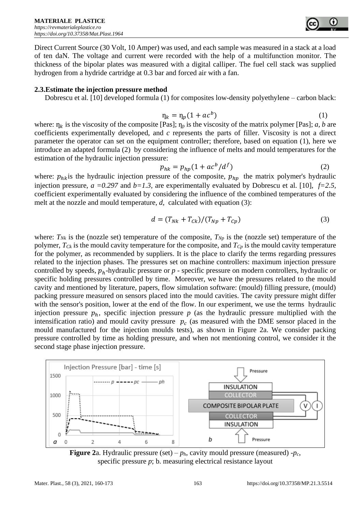Direct Current Source (30 Volt, 10 Amper) was used, and each sample was measured in a stack at a load of ten daN. The voltage and current were recorded with the help of a multifunction monitor. The thickness of the bipolar plates was measured with a digital calliper. The fuel cell stack was supplied hydrogen from a hydride cartridge at 0.3 bar and forced air with a fan.

#### **2.3.Estimate the injection pressure method**

Dobrescu et al. [10] developed formula (1) for composites low-density polyethylene – carbon black:

$$
\eta_k = \eta_p (1 + ac^b) \tag{1}
$$

where:  $\eta_k$  is the viscosity of the composite [Pas];  $\eta_p$  is the viscosity of the matrix polymer [Pas]; *a, b* are coefficients experimentally developed, and *c* represents the parts of filler. Viscosity is not a direct parameter the operator can set on the equipment controller; therefore, based on equation (1), here we introduce an adapted formula (2) by considering the influence of melts and mould temperatures for the estimation of the hydraulic injection pressure:

$$
p_{hk} = p_{hp}(1 + ac^b/d^f)
$$
 (2)

where:  $p_{hk}$  is the hydraulic injection pressure of the composite,  $p_{hv}$  the matrix polymer's hydraulic injection pressure,  $a = 0.297$  and  $b = 1.3$ , are experimentally evaluated by Dobrescu et al. [10],  $f=2.5$ , coefficient experimentally evaluated by considering the influence of the combined temperatures of the melt at the nozzle and mould temperature, *d*, calculated with equation (3):

$$
d = (T_{Nk} + T_{ck})/(T_{Np} + T_{cp})
$$
\n(3)

where:  $T_{Nk}$  is the (nozzle set) temperature of the composite,  $T_{Np}$  is the (nozzle set) temperature of the polymer, *TCk* is the mould cavity temperature for the composite, and *TCp* is the mould cavity temperature for the polymer, as recommended by suppliers. It is the place to clarify the terms regarding pressures related to the injection phases. The pressures set on machine controllers: maximum injection pressure controlled by speeds,  $p_h$ -hydraulic pressure or  $p$  - specific pressure on modern controllers, hydraulic or specific holding pressures controlled by time. Moreover, we have the pressures related to the mould cavity and mentioned by literature, papers, flow simulation software: (mould) filling pressure, (mould) packing pressure measured on sensors placed into the mould cavities. The cavity pressure might differ with the sensor's position, lower at the end of the flow. In our experiment, we use the terms hydraulic injection pressure  $p_h$ , specific injection pressure  $p$  (as the hydraulic pressure multiplied with the intensification ratio) and mould cavity pressure  $p_c$  (as measured with the DME sensor placed in the mould manufactured for the injection moulds tests), as shown in Figure 2a. We consider packing pressure controlled by time as holding pressure, and when not mentioning control, we consider it the second stage phase injection pressure.



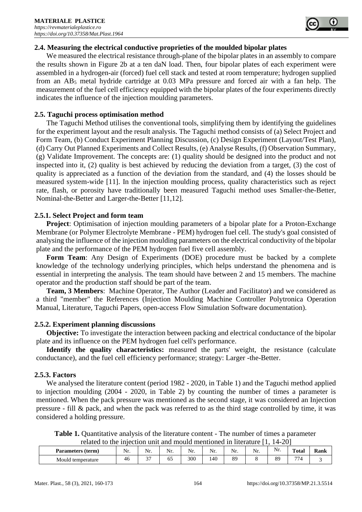

### **2.4. Measuring the electrical conductive proprieties of the moulded bipolar plates**

We measured the electrical resistance through-plane of the bipolar plates in an assembly to compare the results shown in Figure 2b at a ten daN load. Then, four bipolar plates of each experiment were assembled in a hydrogen-air (forced) fuel cell stack and tested at room temperature; hydrogen supplied from an  $AB_5$  metal hydride cartridge at 0.03 MPa pressure and forced air with a fan help. The measurement of the fuel cell efficiency equipped with the bipolar plates of the four experiments directly indicates the influence of the injection moulding parameters.

### **2.5. Taguchi process optimisation method**

The Taguchi Method utilises the conventional tools, simplifying them by identifying the guidelines for the experiment layout and the result analysis. The Taguchi method consists of (a) Select Project and Form Team, (b) Conduct Experiment Planning Discussion, (c) Design Experiment (Layout/Test Plan), (d) Carry Out Planned Experiments and Collect Results, (e) Analyse Results, (f) Observation Summary, (g) Validate Improvement. The concepts are: (1) quality should be designed into the product and not inspected into it, (2) quality is best achieved by reducing the deviation from a target, (3) the cost of quality is appreciated as a function of the deviation from the standard, and (4) the losses should be measured system-wide [11]. In the injection moulding process, quality characteristics such as reject rate, flash, or porosity have traditionally been measured Taguchi method uses Smaller-the-Better, Nominal-the-Better and Larger-the-Better [11,12].

### **2.5.1. Select Project and form team**

**Project**: Optimisation of injection moulding parameters of a bipolar plate for a Proton-Exchange Membrane (or Polymer Electrolyte Membrane - PEM) hydrogen fuel cell. The study's goal consisted of analysing the influence of the injection moulding parameters on the electrical conductivity of the bipolar plate and the performance of the PEM hydrogen fuel five cell assembly.

**Form Team**: Any Design of Experiments (DOE) procedure must be backed by a complete knowledge of the technology underlying principles, which helps understand the phenomena and is essential in interpreting the analysis. The team should have between 2 and 15 members. The machine operator and the production staff should be part of the team.

**Team, 3 Members**: Machine Operator, The Author (Leader and Facilitator) and we considered as a third "member" the References (Injection Moulding Machine Controller Polytronica Operation Manual, Literature, Taguchi Papers, open-access Flow Simulation Software documentation).

#### **2.5.2. Experiment planning discussions**

**Objective:** To investigate the interaction between packing and electrical conductance of the bipolar plate and its influence on the PEM hydrogen fuel cell's performance.

**Identify the quality characteristics:** measured the parts' weight, the resistance (calculate conductance), and the fuel cell efficiency performance; strategy: Larger -the-Better.

## **2.5.3. Factors**

We analysed the literature content (period 1982 - 2020, in Table 1) and the Taguchi method applied to injection moulding (2004 - 2020, in Table 2) by counting the number of times a parameter is mentioned. When the pack pressure was mentioned as the second stage, it was considered an Injection pressure - fill & pack, and when the pack was referred to as the third stage controlled by time, it was considered a holding pressure.

**Table 1.** Quantitative analysis of the literature content - The number of times a parameter related to the injection unit and mould mentioned in literature [1, 14-20]

| Parameters (term) | Nr        | $\mathbf{v}$<br>Nr | $\sim$ $\sim$<br>Nr. | Nr. | $\mathbf{v}$<br>Nr. | $N_r$<br>1 V 1 . | $\sim$ $\sim$<br>Nr. | Nr. | Total     | Kank |
|-------------------|-----------|--------------------|----------------------|-----|---------------------|------------------|----------------------|-----|-----------|------|
| Mould temperature | 41<br>1 U | $\sim$<br>້        | ັ                    | 300 | 140                 | 89               |                      | 89  | 77<br>. . |      |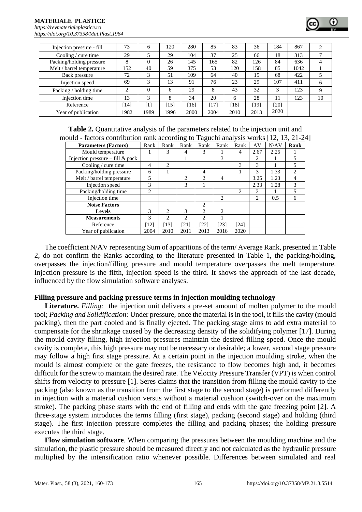#### **MATERIALE PLASTICE**  *[https://revmaterialeplastice.ro](https://revmaterialeplastice.ro/) https://doi.org/10.37358/Mat.Plast.1964*

| Injection pressure - fill | 73     | 6        | 120  | 280  | 85   | 83   | 36   | 184  | 867  |    |
|---------------------------|--------|----------|------|------|------|------|------|------|------|----|
| Cooling / cure time       | 29     |          | 29   | 104  | 37   | 25   | 66   | 18   | 313  |    |
| Packing/holding pressure  | 8      | $\Omega$ | 26   | 145  | 165  | 82   | 126  | 84   | 636  |    |
| Melt / barrel temperature | 152    | 40       | 59   | 375  | 53   | 120  | 158  | 85   | 1042 |    |
| Back pressure             | 72     | 3        | 51   | 109  | 64   | 40   | 15   | 68   | 422  |    |
| Injection speed           | 69     | 3        | 13   | 91   | 76   | 23   | 29   | 107  | 411  | 6  |
| Packing / holding time    | ↑      | $\Omega$ | 6    | 29   | 8    | 43   | 32   | 3    | 123  | Q  |
| Injection time            | 13     | 3        | 8    | 34   | 20   | 6    | 28   | 11   | 123  | 10 |
| Reference                 | $14$ ] | [1]      | 15   | 161  | 171  | 181  | [19] | [20] |      |    |
| Year of publication       | 1982   | 1989     | 1996 | 2000 | 2004 | 2010 | 2013 | 2020 |      |    |

**Table 2.** Quantitative analysis of the parameters related to the injection unit and mould - factors contribution rank according to Taguchi analysis works [12, 13, 21-24]

| <b>Parameters (Factors)</b>        | Rank | Rank           | Rank                        | Rank                        | Rank                          | Rank           | AV                          | N/AV | Rank |
|------------------------------------|------|----------------|-----------------------------|-----------------------------|-------------------------------|----------------|-----------------------------|------|------|
| Mould temperature                  |      | 3              | 4                           | 3                           |                               | 4              | 2.67                        | 2.25 |      |
| Injection pressure $-$ fill & pack |      |                |                             |                             | 3                             |                | $\mathcal{D}_{\mathcal{L}}$ |      |      |
| Cooling / cure time                | 4    | 2              |                             |                             |                               | 3              | 3                           |      |      |
| Packing/holding pressure           | 6    |                |                             | 4                           |                               |                | 3                           | 1.33 | 2    |
| Melt / barrel temperature          | 5    |                | $\mathcal{L}$               | 2                           | $\overline{4}$                |                | 3.25                        | 1.23 | 4    |
| Injection speed                    | 3    |                | 3                           |                             |                               |                | 2.33                        | 1.28 | 3    |
| Packing/holding time               | 2    |                |                             |                             |                               | $\mathfrak{D}$ | 2                           |      |      |
| Injection time                     |      |                |                             |                             | $\mathfrak{D}_{\mathfrak{p}}$ |                | 2                           | 0.5  | 6    |
| <b>Noise Factors</b>               |      |                |                             | 2                           |                               |                |                             |      |      |
| <b>Levels</b>                      | 3    | $\mathfrak{D}$ | 3                           | $\mathfrak{D}$              | $\mathfrak{D}_{\mathfrak{p}}$ |                |                             |      |      |
| <b>Measurements</b>                | 3    | 2              | $\mathcal{D}_{\mathcal{L}}$ | $\mathcal{D}_{\mathcal{L}}$ |                               |                |                             |      |      |
| Reference                          | [12] | 131            | [21]                        | [22]                        | [23]                          | [24]           |                             |      |      |
| Year of publication                | 2004 | 2010           | 2011                        | 2013                        | 2016                          | 2020           |                             |      |      |

The coefficient N/AV representing Sum of apparitions of the term/ Average Rank, presented in Table 2, do not confirm the Ranks according to the literature presented in Table 1, the packing/holding, overpasses the injection/filling pressure and mould temperature overpasses the melt temperature. Injection pressure is the fifth, injection speed is the third. It shows the approach of the last decade, influenced by the flow simulation software analyses.

#### **Filling pressure and packing pressure terms in injection moulding technology**

Literature. Filling: the injection unit delivers a pre-set amount of molten polymer to the mould tool; *Packing and Solidification:* Under pressure, once the material is in the tool, it fills the cavity (mould packing), then the part cooled and is finally ejected. The packing stage aims to add extra material to compensate for the shrinkage caused by the decreasing density of the solidifying polymer [17]. During the mould cavity filling, high injection pressures maintain the desired filling speed. Once the mould cavity is complete, this high pressure may not be necessary or desirable; a lower, second stage pressure may follow a high first stage pressure. At a certain point in the injection moulding stroke, when the mould is almost complete or the gate freezes, the resistance to flow becomes high and, it becomes difficult for the screw to maintain the desired rate. The Velocity Pressure Transfer (VPT) is when control shifts from velocity to pressure [1]. Seres claims that the transition from filling the mould cavity to the packing (also known as the transition from the first stage to the second stage) is performed differently in injection with a material cushion versus without a material cushion (switch-over on the maximum stroke). The packing phase starts with the end of filling and ends with the gate freezing point [2]. A three-stage system introduces the terms filling (first stage), packing (second stage) and holding (third stage). The first injection pressure completes the filling and packing phases; the holding pressure executes the third stage.

**Flow simulation software**. When comparing the pressures between the moulding machine and the simulation, the plastic pressure should be measured directly and not calculated as the hydraulic pressure multiplied by the intensification ratio whenever possible. Differences between simulated and real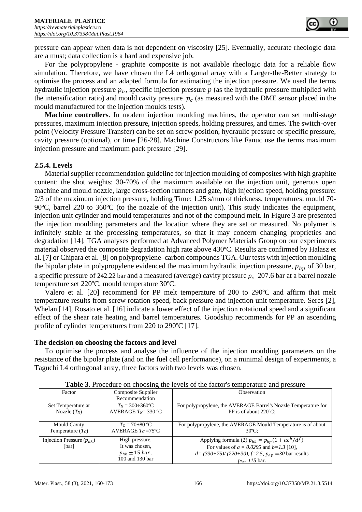pressure can appear when data is not dependent on viscosity [25]. Eventually, accurate rheologic data are a must; data collection is a hard and expensive job.

For the polypropylene - graphite composite is not available rheologic data for a reliable flow simulation. Therefore, we have chosen the L4 orthogonal array with a Larger-the-Better strategy to optimise the process and an adapted formula for estimating the injection pressure. We used the terms hydraulic injection pressure  $p_h$ , specific injection pressure *p* (as the hydraulic pressure multiplied with the intensification ratio) and mould cavity pressure  $p_c$  (as measured with the DME sensor placed in the mould manufactured for the injection moulds tests).

**Machine controllers**. In modern injection moulding machines, the operator can set multi-stage pressures, maximum injection pressure, injection speeds, holding pressures, and times. The switch-over point (Velocity Pressure Transfer) can be set on screw position, hydraulic pressure or specific pressure, cavity pressure (optional), or time [26-28]. Machine Constructors like Fanuc use the terms maximum injection pressure and maximum pack pressure [29].

### **2.5.4. Levels**

Material supplier recommendation guideline for injection moulding of composites with high graphite content: the shot weights: 30-70% of the maximum available on the injection unit, generous open machine and mould nozzle, large cross-section runners and gate, high injection speed, holding pressure: 2/3 of the maximum injection pressure, holding Time: 1.25 s/mm of thickness, temperatures: mould 70- 90ºC, barrel 220 to 360ºC (to the nozzle of the injection unit). This study indicates the equipment, injection unit cylinder and mould temperatures and not of the compound melt. In Figure 3 are presented the injection moulding parameters and the location where they are set or measured. No polymer is infinitely stable at the processing temperatures, so that it may concern changing proprieties and degradation [14]. TGA analyses performed at Advanced Polymer Materials Group on our experiments material observed the composite degradation high rate above 430ºC. Results are confirmed by Halasz et al. [7] or Chipara et al. [8] on polypropylene–carbon compounds TGA. Our tests with injection moulding the bipolar plate in polypropylene evidenced the maximum hydraulic injection pressure,  $p_{hn}$  of 30 bar, a specific pressure of 242.22 bar and a measured (average) cavity pressure  $p_c$  207.6 bar at a barrel nozzle temperature set 220ºC, mould temperature 30ºC.

Valero et al. [20] recommend for PP melt temperature of 200 to 290ºC and affirm that melt temperature results from screw rotation speed, back pressure and injection unit temperature. Seres [2], Whelan [14], Rosato et al. [16] indicate a lower effect of the injection rotational speed and a significant effect of the shear rate heating and barrel temperatures. Goodship recommends for PP an ascending profile of cylinder temperatures from 220 to 290ºC [17].

**The decision on choosing the factors and level** 

To optimise the process and analyse the influence of the injection moulding parameters on the resistance of the bipolar plate (and on the fuel cell performance), on a minimal design of experiments, a Taguchi L4 orthogonal array, three factors with two levels was chosen.

|                               |                             | <b>THEIR CALLOCATED</b> ON CHOODING THE TOTAL OF THE THEFOLD TO TEMPERATURE THE PLODGED |
|-------------------------------|-----------------------------|-----------------------------------------------------------------------------------------|
| Factor                        | Composite Supplier          | Observation                                                                             |
|                               | Recommendation              |                                                                                         |
| Set Temperature at            | $T_N = 300 \div 360$ °C     | For polypropylene, the AVERAGE Barrel's Nozzle Temperature for                          |
| Nozzle $(T_N)$                | AVERAGE $T_N$ = 330 °C      | PP is of about 220 °C:                                                                  |
|                               |                             |                                                                                         |
| <b>Mould Cavity</b>           | $T_c = 70 \div 80$ °C       | For polypropylene, the AVERAGE Mould Temperature is of about                            |
| Temperature $(T_C)$           | AVERAGE $T_c = 75^{\circ}C$ | $30^{\circ}$ C:                                                                         |
| Injection Pressure $(p_{hk})$ | High pressure.              | Applying formula (2) $p_{hk} = p_{hp}(1 + ac^b/d^f)$                                    |
| [bar]                         | It was chosen.              | For values of $a = 0.0295$ and $b = 1.3$ [10],                                          |
|                               | $p_{hk} \pm 15 \, bar$ ,    | $d = (330+75)/(220+30)$ , $f=2.5$ , $p_{hp} = 30$ bar results                           |
|                               | 100 and 130 bar             | $p_{hk} = 115$ bar.                                                                     |

| <b>Table 3.</b> Procedure on choosing the levels of the factor's temperature and pressure |  |  |  |  |  |
|-------------------------------------------------------------------------------------------|--|--|--|--|--|
|                                                                                           |  |  |  |  |  |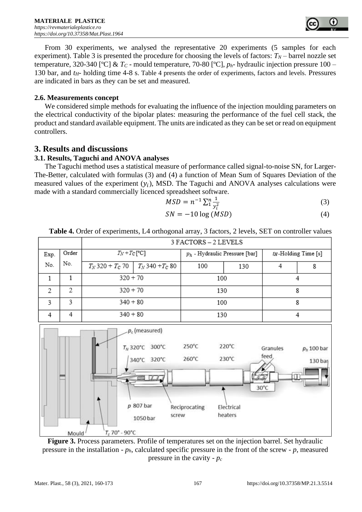

From 30 experiments, we analysed the representative 20 experiments (5 samples for each experiment). Table 3 is presented the procedure for choosing the levels of factors:  $T_N$  – barrel nozzle set temperature, 320-340 [ºC] & *T<sup>C</sup>* - mould temperature, 70-80 [ºC], *ph*- hydraulic injection pressure 100 – 130 bar, and *tH*- holding time 4-8 s. Table 4 presents the order of experiments, factors and levels. Pressures are indicated in bars as they can be set and measured.

#### **2.6. Measurements concept**

We considered simple methods for evaluating the influence of the injection moulding parameters on the electrical conductivity of the bipolar plates: measuring the performance of the fuel cell stack, the product and standard available equipment. The units are indicated as they can be set or read on equipment controllers.

## **3. Results and discussions**

## **3.1. Results, Taguchi and ANOVA analyses**

The Taguchi method uses a statistical measure of performance called signal-to-noise SN, for Larger-The-Better, calculated with formulas (3) and (4) a function of Mean Sum of Squares Deviation of the measured values of the experiment  $(y_i)$ , MSD. The Taguchi and ANOVA analyses calculations were made with a standard commercially licenced spreadsheet software.

$$
MSD = n^{-1} \sum_{i=1}^{n} \frac{1}{y_i^2}
$$
 (3)

$$
SN = -10 \log (MSD) \tag{4}
$$



**Table 4.** Order of experiments, L4 orthogonal array, 3 factors, 2 levels, SET on controller values

**Figure 3.** Process parameters. Profile of temperatures set on the injection barrel. Set hydraulic pressure in the installation - *ph*, calculated specific pressure in the front of the screw - *p*, measured pressure in the cavity - *p<sup>c</sup>*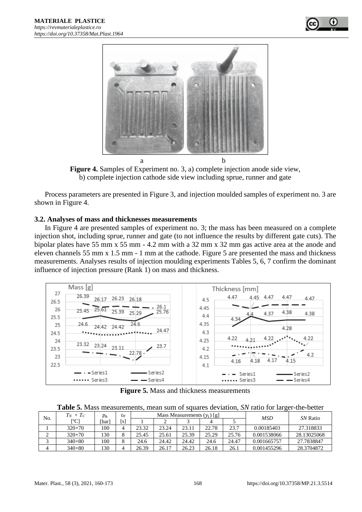



**Figure 4.** Samples of Experiment no. 3, a) complete injection anode side view, b) complete injection cathode side view including sprue, runner and gate

Process parameters are presented in Figure 3, and injection moulded samples of experiment no. 3 are shown in Figure 4.

#### **3.2. Analyses of mass and thicknesses measurements**

In Figure 4 are presented samples of experiment no. 3; the mass has been measured on a complete injection shot, including sprue, runner and gate (to not influence the results by different gate cuts). The bipolar plates have 55 mm x 55 mm - 4.2 mm with a 32 mm x 32 mm gas active area at the anode and eleven channels 55 mm x 1.5 mm - 1 mm at the cathode. Figure 5 are presented the mass and thickness measurements. Analyses results of injection moulding experiments Tables 5, 6, 7 confirm the dominant influence of injection pressure (Rank 1) on mass and thickness.



**Figure 5.** Mass and thickness measurements

**Table 5.** Mass measurements, mean sum of squares deviation, *SN* ratio for larger-the-better

| No. | $T_N + T_C$ | $p_h$ | tн  |       |       | Mass Measurements $(y_i)$ [g] |       |       | <b>MSD</b>  | SN Ratio    |  |
|-----|-------------|-------|-----|-------|-------|-------------------------------|-------|-------|-------------|-------------|--|
|     | [°C]        | [bar] | l s |       |       |                               |       |       |             |             |  |
|     | $320+70$    | 100   |     | 23.32 | 23.24 | 23.11                         | 22.78 | 23.7  | 0.00185403  | 27.318833   |  |
| ∠   | $320+70$    | 130   |     | 25.45 | 25.61 | 25.39                         | 25.29 | 25.76 | 0.001538066 | 28.13025068 |  |
|     | $340+80$    | 100   |     | 24.6  | 24.42 | 24.42                         | 24.6  | 24.47 | 0.001665757 | 27.7838847  |  |
|     | $340 + 80$  | 130   |     | 26.39 | 26.17 | 26.23                         | 26.18 | 26.1  | 0.001455296 | 28.3704872  |  |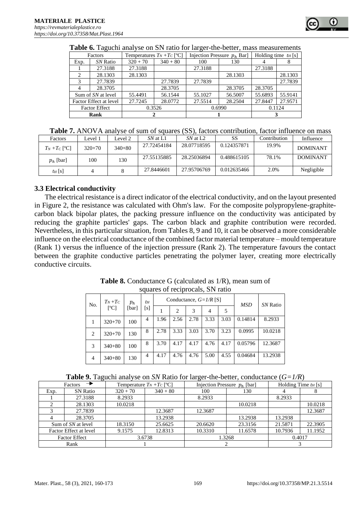|                             | Factors                |            | Temperatures $T_N + T_C$ [°C] |         | Injection Pressure $p_h$ Bar] | Holding time $t_H$ [s] |         |  |
|-----------------------------|------------------------|------------|-------------------------------|---------|-------------------------------|------------------------|---------|--|
| Exp.                        | SN Ratio               | $320 + 70$ | $340 + 80$                    | 100     | 130                           |                        |         |  |
|                             | 27.3188                | 27.3188    |                               | 27.3188 |                               | 27.3188                |         |  |
| $\mathcal{D}_{\mathcal{A}}$ | 28.1303                | 28.1303    |                               |         | 28.1303                       |                        | 28.1303 |  |
|                             | 27.7839                |            | 27.7839                       | 27.7839 |                               |                        | 27.7839 |  |
|                             | 28.3705                |            | 28.3705                       |         | 28.3705                       | 28.3705                |         |  |
|                             | Sum of SN at level     | 55.4491    | 56.1544                       | 55.1027 | 56.5007                       | 55.6893                | 55.9141 |  |
|                             | Factor Effect at level | 27.7245    | 28.0772                       | 27.5514 | 28.2504                       | 27.8447                | 27.9571 |  |
|                             | <b>Factor Effect</b>   |            | 0.3526                        |         | 0.6990                        | 0.1124                 |         |  |
| Rank                        |                        |            |                               |         |                               |                        |         |  |

#### **Table 6.** Taguchi analyse on SN ratio for larger-the-better, mass measurements

|  |  |  |  | Table 7. ANOVA analyse of sum of squares (SS), factors contribution, factor influence on mass |
|--|--|--|--|-----------------------------------------------------------------------------------------------|
|--|--|--|--|-----------------------------------------------------------------------------------------------|

| Factors                       | Level 1  | evel 2   | SN at L1    | SN at L2    | SS          | Contribution | Influence       |
|-------------------------------|----------|----------|-------------|-------------|-------------|--------------|-----------------|
| $T_N + T_C$ [ <sup>o</sup> C] | $320+70$ | $340+80$ | 27.72454184 | 28.07718595 | 0.124357871 | 19.9%        | <b>DOMINANT</b> |
| $p_h$ [bar]                   | 100      | 130      | 27.55135885 | 28.25036894 | 0.488615105 | 78.1%        | <b>DOMINANT</b> |
| $t_H$ [s]                     |          |          | 27.8446601  | 27.95706769 | 0.012635466 | 2.0%         | Negligible      |

#### **3.3 Electrical conductivity**

The electrical resistance is a direct indicator of the electrical conductivity, and on the layout presented in Figure 2, the resistance was calculated with Ohm's law. For the composite polypropylene-graphitecarbon black bipolar plates, the packing pressure influence on the conductivity was anticipated by reducing the graphite particles' gaps. The carbon black and graphite contribution were recorded. Nevertheless, in this particular situation, from Tables 8, 9 and 10, it can be observed a more considerable influence on the electrical conductance of the combined factor material temperature – mould temperature (Rank 1) versus the influence of the injection pressure (Rank 2). The temperature favours the contact between the graphite conductive particles penetrating the polymer layer, creating more electrically conductive circuits.

| <b>Table 8.</b> Conductance G (calculated as 1/R), mean sum of |
|----------------------------------------------------------------|
| squares of reciprocals, SN ratio                               |

| $T_N+T_C$<br>No.              | $p_h$               | $t_H$ |                |      | Conductance, $G=1/R$ [S] | <b>MSD</b> | SN Ratio       |      |         |         |
|-------------------------------|---------------------|-------|----------------|------|--------------------------|------------|----------------|------|---------|---------|
|                               | $\lceil{^o}C\rceil$ | [bar] | [s]            |      | $\overline{c}$           | 3          | $\overline{4}$ | 5    |         |         |
|                               | $320+70$            | 100   | 4              | 1.96 | 2.56                     | 2.78       | 3.33           | 3.03 | 0.14814 | 8.2933  |
| $\mathfrak{D}_{\mathfrak{p}}$ | $320+70$            | 130   | 8              | 2.78 | 3.33                     | 3.03       | 3.70           | 3.23 | 0.0995  | 10.0218 |
| 3                             | $340+80$            | 100   | 8              | 3.70 | 4.17                     | 4.17       | 4.76           | 4.17 | 0.05796 | 12.3687 |
| $\overline{4}$                | $340 + 80$          | 130   | $\overline{4}$ | 4.17 | 4.76                     | 4.76       | 5.00           | 4.55 | 0.04684 | 13.2938 |

|  |  | <b>Table 9.</b> Taguchi analyse on SN Ratio for larger-the-better, conductance $(G=1/R)$ |  |
|--|--|------------------------------------------------------------------------------------------|--|
|  |  |                                                                                          |  |

| Factors                |                 | Temperature $T_N + T_C$ [°C] |            |         | Injection Pressure $p_h$ [bar] | Holding Time $trH$ [s] |         |  |  |
|------------------------|-----------------|------------------------------|------------|---------|--------------------------------|------------------------|---------|--|--|
| Exp.                   | <b>SN Ratio</b> | $320 + 70$                   | $340 + 80$ | 100     | 130                            |                        |         |  |  |
|                        | 27.3188         | 8.2933                       |            | 8.2933  |                                | 8.2933                 |         |  |  |
|                        | 28.1303         | 10.0218                      |            |         | 10.0218                        |                        | 10.0218 |  |  |
|                        | 27.7839         |                              | 12.3687    | 12.3687 |                                |                        | 12.3687 |  |  |
|                        | 28.3705         |                              | 13.2938    |         | 13.2938                        | 13.2938                |         |  |  |
| Sum of SN at level     |                 | 18.3150                      | 25.6625    | 20.6620 | 23.3156                        | 21.5871                | 22.3905 |  |  |
| Factor Effect at level |                 | 9.1575                       | 12.8313    | 10.3310 | 11.6578                        | 10.7936                | 11.1952 |  |  |
| <b>Factor Effect</b>   |                 | 3.6738                       |            | 1.3268  |                                | 0.4017                 |         |  |  |
| Rank                   |                 |                              |            |         |                                |                        |         |  |  |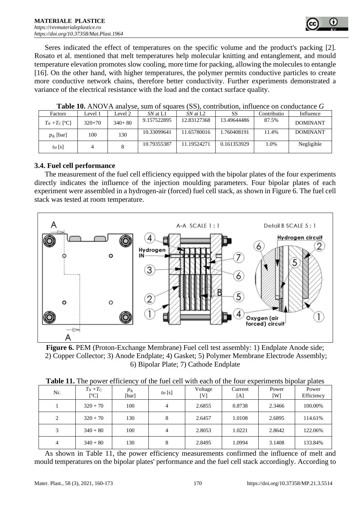

Seres indicated the effect of temperatures on the specific volume and the product's packing [2]. Rosato et al. mentioned that melt temperatures help molecular knitting and entanglement, and mould temperature elevation promotes slow cooling, more time for packing, allowing the molecules to entangle [16]. On the other hand, with higher temperatures, the polymer permits conductive particles to create more conductive network chains, therefore better conductivity. Further experiments demonstrated a variance of the electrical resistance with the load and the contact surface quality.

| Factors                       | Level 1  | evel 2   | SN at L1    | SN at L <sub>2</sub> | SS          | Contributio | Influence       |  |  |
|-------------------------------|----------|----------|-------------|----------------------|-------------|-------------|-----------------|--|--|
| $T_N + T_C$ [ <sup>o</sup> C] | $320+70$ | $340+80$ | 9.157522895 | 12.83127368          | 13.49644486 | 87.5%       | <b>DOMINANT</b> |  |  |
| $p_h$ [bar]                   | 100      | 130      | 10.33099641 | 11.65780016          | 1.760408191 | 11.4%       | <b>DOMINANT</b> |  |  |
| $t_H$ [s]                     |          |          | 10.79355387 | 11.19524271          | 0.161353929 | 1.0%        | Negligible      |  |  |

**Table 10.** ANOVA analyse, sum of squares (SS), contribution, influence on conductance *G*

#### **3.4. Fuel cell performance**

The measurement of the fuel cell efficiency equipped with the bipolar plates of the four experiments directly indicates the influence of the injection moulding parameters. Four bipolar plates of each experiment were assembled in a hydrogen-air (forced) fuel cell stack, as shown in Figure 6. The fuel cell stack was tested at room temperature.



**Figure 6.** PEM (Proton-Exchange Membrane) Fuel cell test assembly: 1) Endplate Anode side; 2) Copper Collector; 3) Anode Endplate; 4) Gasket; 5) Polymer Membrane Electrode Assembly; 6) Bipolar Plate; 7) Cathode Endplate

| Nr. | $T_N+T_C$<br>[°C] | $p_h$<br>[bar] | $t_H$ [s] | Voltage<br>[V] | Current<br>[A] | Power<br>[W] | Power<br>Efficiency |
|-----|-------------------|----------------|-----------|----------------|----------------|--------------|---------------------|
|     | $320 + 70$        | 100            | 4         | 2.6855         | 0.8738         | 2.3466       | 100.00%             |
| 2   | $320 + 70$        | 130            | 8         | 2.6457         | 1.0108         | 2.6895       | 114.61%             |
| 3   | $340 + 80$        | 100            | 4         | 2.8053         | 1.0221         | 2.8642       | 122.06%             |
| 4   | $340 + 80$        | 130            | 8         | 2.8495         | 1.0994         | 3.1408       | 133.84%             |

As shown in Table 11, the power efficiency measurements confirmed the influence of melt and mould temperatures on the bipolar plates' performance and the fuel cell stack accordingly. According to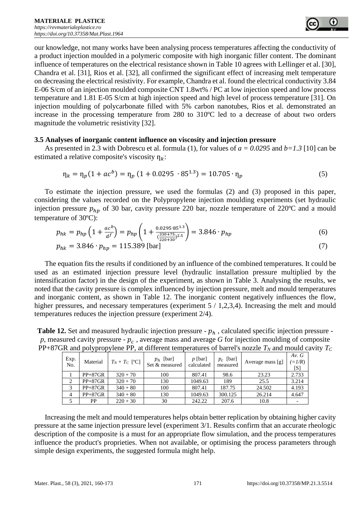

our knowledge, not many works have been analysing process temperatures affecting the conductivity of a product injection moulded in a polymeric composite with high inorganic filler content. The dominant influence of temperatures on the electrical resistance shown in Table 10 agrees with Lellinger et al. [30], Chandra et al. [31], Rios et al. [32], all confirmed the significant effect of increasing melt temperature on decreasing the electrical resistivity. For example, Chandra et al. found the electrical conductivity 3.84 E-06 S/cm of an injection moulded composite CNT 1.8wt% / PC at low injection speed and low process temperature and 1.81 E-05 S/cm at high injection speed and high level of process temperature [31]. On injection moulding of polycarbonate filled with 5% carbon nanotubes, Rios et al. demonstrated an increase in the processing temperature from 280 to 310ºC led to a decrease of about two orders magnitude the volumetric resistivity [32].

#### **3.5 Analyses of inorganic content influence on viscosity and injection pressure**

As presented in 2.3 with Dobrescu et al. formula (1), for values of *a = 0.0295* and *b=1.3* [10] can be estimated a relative composite's viscosity  $\eta_k$ :

$$
\eta_k = \eta_p (1 + ac^b) = \eta_p (1 + 0.0295 \cdot 85^{1.3}) = 10.705 \cdot \eta_p \tag{5}
$$

To estimate the injection pressure, we used the formulas (2) and (3) proposed in this paper, considering the values recorded on the Polypropylene injection moulding experiments (set hydraulic injection pressure  $p_{hp}$  of 30 bar, cavity pressure 220 bar, nozzle temperature of 220°C and a mould temperature of 30ºC):

$$
p_{hk} = p_{hp} \left( 1 + \frac{ac^b}{d^f} \right) = p_{hp} \left( 1 + \frac{0.0295 \cdot 85^{1.3}}{\left( \frac{330 + 75}{220 + 30} \right)^{2.5}} \right) = 3.846 \cdot p_{hp} \tag{6}
$$

$$
p_{hk} = 3.846 \cdot p_{hp} = 115.389 \,\text{[bar]}\tag{7}
$$

The equation fits the results if conditioned by an influence of the combined temperatures. It could be used as an estimated injection pressure level (hydraulic installation pressure multiplied by the intensification factor) in the design of the experiment, as shown in Table 3. Analysing the results, we noted that the cavity pressure is complex influenced by injection pressure, melt and mould temperatures and inorganic content, as shown in Table 12. The inorganic content negatively influences the flow, higher pressures, and necessary temperatures (experiment  $5/1,2,3,4$ ). Increasing the melt and mould temperatures reduces the injection pressure (experiment 2/4).

| $\mu$ at the detector $\mu$ and $\mu$ and $\mu$ and $\mu$ and $\mu$ and $\mu$ and $\mu$ and $\mu$ and $\mu$ and $\mu$ and $\mu$ and $\mu$ and $\mu$ and $\mu$ and $\mu$ and $\mu$ and $\mu$ and $\mu$ and $\mu$ and $\mu$ and $\mu$ and $\mu$ and $\$ |             |           |                          |                               |                         |                         |                  |                                    |  |  |  |
|-------------------------------------------------------------------------------------------------------------------------------------------------------------------------------------------------------------------------------------------------------|-------------|-----------|--------------------------|-------------------------------|-------------------------|-------------------------|------------------|------------------------------------|--|--|--|
| +87GR and polypropylene PP, at different temperatures of barrel's nozzle $T_N$ and mould cavity                                                                                                                                                       |             |           |                          |                               |                         |                         |                  |                                    |  |  |  |
|                                                                                                                                                                                                                                                       | Exp.<br>No. |           | Material $Tx + T_C$ [°C] | $p_h$ [bar]<br>Set & measured | $p$ [bar]<br>calculated | $p_c$ [bar]<br>measured | Average mass [g] | Av. $G$<br>$(=\frac{1}{R})$<br>[S] |  |  |  |
|                                                                                                                                                                                                                                                       |             | $PP+87GR$ | $320 + 70$               | 100                           | 807.41                  | 98.6                    | 23.23            | 2.733                              |  |  |  |
|                                                                                                                                                                                                                                                       |             | $PP+87GR$ | $320 + 70$               | 130                           | 1049.63                 | 189                     | 25.5             | 3.214                              |  |  |  |

3 PP+87GR 340 + 80 100 807.41 187.75 24.502 4.193 4 | PP+87GR | 340 + 80 | 130 | 1049.63 | 300.125 | 26.214 | 4.647  $5 \mid PP \mid 220 + 30 \mid 30 \mid 242.22 \mid 207.6 \mid 10.8 \mid -10.8$ 

**Table 12.** Set and measured hydraulic injection pressure  $-p_h$ , calculated specific injection pressure  $p$ , measured cavity pressure -  $p_c$ , average mass and average  $G$  for injection moulding of composite PP+87GR and polypropylene PP, at different temperatures of barrel's nozzle  $T_N$  and mould cavity  $T_C$ 

Increasing the melt and mould temperatures helps obtain better replication by obtaining higher cavity pressure at the same injection pressure level (experiment 3/1. Results confirm that an accurate rheologic description of the composite is a must for an appropriate flow simulation, and the process temperatures influence the product's proprieties. When not available, or optimising the process parameters through simple design experiments, the suggested formula might help.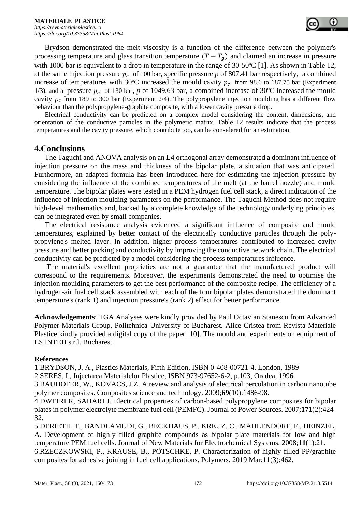Brydson demonstrated the melt viscosity is a function of the difference between the polymer's processing temperature and glass transition temperature  $(T - T_a)$  and claimed an increase in pressure with 1000 bar is equivalent to a drop in temperature in the range of 30-50°C [1]. As shown in Table 12, at the same injection pressure  $p_h$  of 100 bar, specific pressure p of 807.41 bar respectively, a combined increase of temperatures with 30°C increased the mould cavity  $p_c$  from 98.6 to 187.75 bar (Experiment 1/3), and at pressure  $p_h$  of 130 bar, *p* of 1049.63 bar, a combined increase of 30°C increased the mould cavity  $p_c$  from 189 to 300 bar (Experiment 2/4). The polypropylene injection moulding has a different flow behaviour than the polypropylene-graphite composite, with a lower cavity pressure drop.

Electrical conductivity can be predicted on a complex model considering the content, dimensions, and orientation of the conductive particles in the polymeric matrix. Table 12 results indicate that the process temperatures and the cavity pressure, which contribute too, can be considered for an estimation.

## **4.Conclusions**

The Taguchi and ANOVA analysis on an L4 orthogonal array demonstrated a dominant influence of injection pressure on the mass and thickness of the bipolar plate, a situation that was anticipated. Furthermore, an adapted formula has been introduced here for estimating the injection pressure by considering the influence of the combined temperatures of the melt (at the barrel nozzle) and mould temperature. The bipolar plates were tested in a PEM hydrogen fuel cell stack, a direct indication of the influence of injection moulding parameters on the performance. The Taguchi Method does not require high-level mathematics and, backed by a complete knowledge of the technology underlying principles, can be integrated even by small companies.

The electrical resistance analysis evidenced a significant influence of composite and mould temperatures, explained by better contact of the electrically conductive particles through the polypropylene's melted layer. In addition, higher process temperatures contributed to increased cavity pressure and better packing and conductivity by improving the conductive network chain. The electrical conductivity can be predicted by a model considering the process temperatures influence.

The material's excellent proprieties are not a guarantee that the manufactured product will correspond to the requirements. Moreover, the experiments demonstrated the need to optimise the injection moulding parameters to get the best performance of the composite recipe. The efficiency of a hydrogen-air fuel cell stack assembled with each of the four bipolar plates demonstrated the dominant temperature's (rank 1) and injection pressure's (rank 2) effect for better performance.

**Acknowledgements**: TGA Analyses were kindly provided by Paul Octavian Stanescu from Advanced Polymer Materials Group, Politehnica University of Bucharest. Alice Cristea from Revista Materiale Plastice kindly provided a digital copy of the paper [10]. The mould and experiments on equipment of LS INTEH s.r.l. Bucharest.

## **References**

1.BRYDSON, J. A., Plastics Materials, Fifth Edition, ISBN 0-408-00721-4, London, 1989

2.SERES, I., Injectarea Materialelor Plastice, ISBN 973-97652-6-2, p.103, Oradea, 1996

3.BAUHOFER, W., KOVACS, J.Z. A review and analysis of electrical percolation in carbon nanotube polymer composites. Composites science and technology. 2009;**69**(10):1486-98.

4.DWEIRI R, SAHARI J. Electrical properties of carbon-based polypropylene composites for bipolar plates in polymer electrolyte membrane fuel cell (PEMFC). Journal of Power Sources. 2007;**171**(2):424- 32.

5.DERIETH, T., BANDLAMUDI, G., BECKHAUS, P., KREUZ, C., MAHLENDORF, F., HEINZEL, A. Development of highly filled graphite compounds as bipolar plate materials for low and high temperature PEM fuel cells. Journal of New Materials for Electrochemical Systems. 2008;**11**(1):21. 6.RZECZKOWSKI, P., KRAUSE, B., PÖTSCHKE, P. Characterization of highly filled PP/graphite composites for adhesive joining in fuel cell applications. Polymers. 2019 Mar;**11**(3):462.